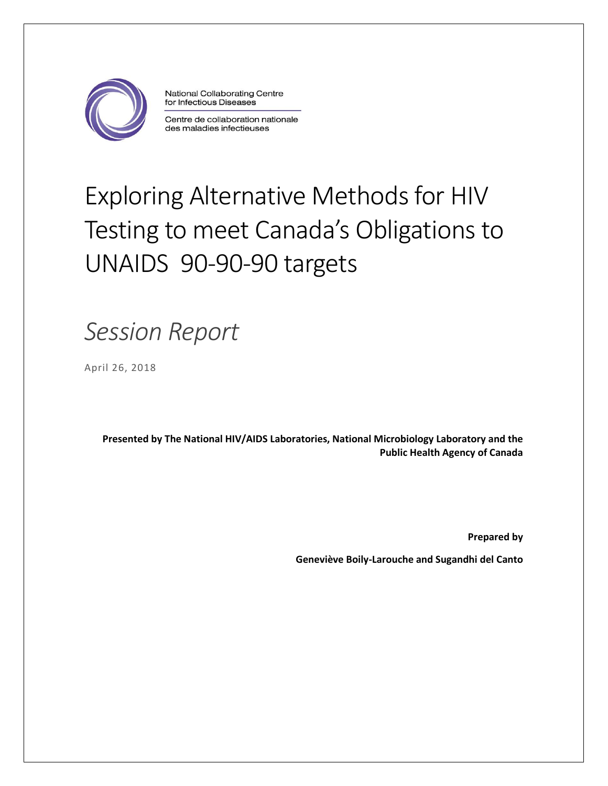

National Collaborating Centre for Infectious Diseases

Centre de collaboration nationale des maladies infectieuses

# Exploring Alternative Methods for HIV Testing to meet Canada's Obligations to UNAIDS 90-90-90 targets

## *Session Report*

April 26, 2018

**Presented by The National HIV/AIDS Laboratories, National Microbiology Laboratory and the Public Health Agency of Canada**

**Prepared by** 

**Geneviève Boily-Larouche and Sugandhi del Canto**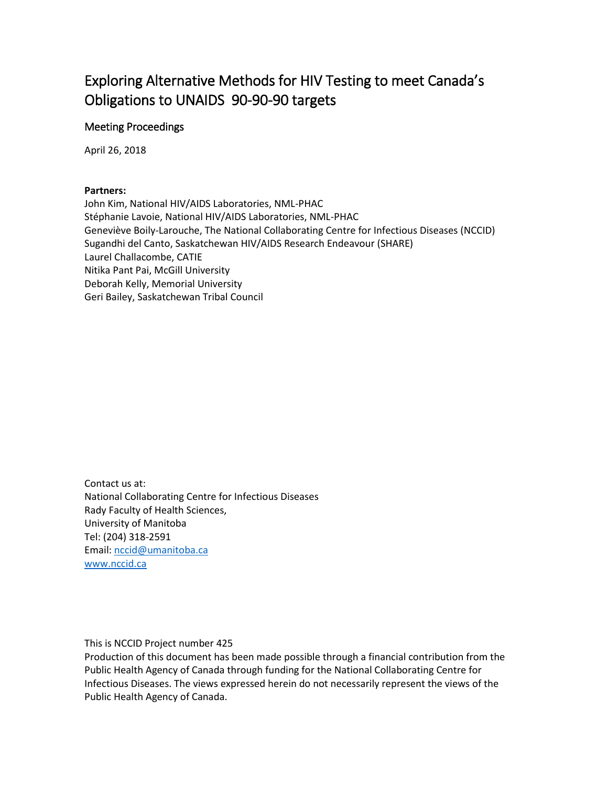## Exploring Alternative Methods for HIV Testing to meet Canada's Obligations to UNAIDS 90-90-90 targets

#### Meeting Proceedings

April 26, 2018

#### **Partners:**

John Kim, National HIV/AIDS Laboratories, NML-PHAC Stéphanie Lavoie, National HIV/AIDS Laboratories, NML-PHAC Geneviève Boily-Larouche, The National Collaborating Centre for Infectious Diseases (NCCID) Sugandhi del Canto, Saskatchewan HIV/AIDS Research Endeavour (SHARE) Laurel Challacombe, CATIE Nitika Pant Pai, McGill University Deborah Kelly, Memorial University Geri Bailey, Saskatchewan Tribal Council

Contact us at: National Collaborating Centre for Infectious Diseases Rady Faculty of Health Sciences, University of Manitoba Tel: (204) 318-2591 Email: [nccid@umanitoba.ca](mailto:nccid@umanitoba.ca) [www.nccid.ca](http://www.nccid.ca/)

This is NCCID Project number 425

Production of this document has been made possible through a financial contribution from the Public Health Agency of Canada through funding for the National Collaborating Centre for Infectious Diseases. The views expressed herein do not necessarily represent the views of the Public Health Agency of Canada.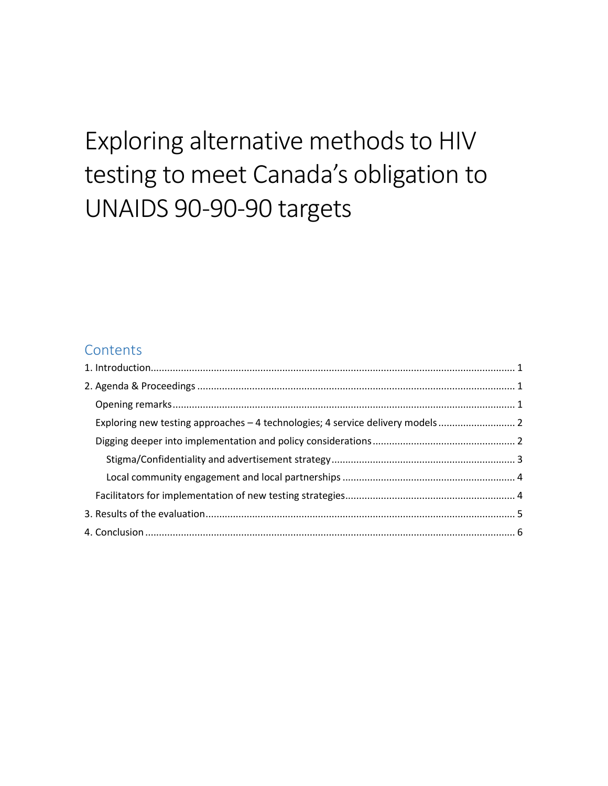## Exploring alternative methods to HIV testing to meet Canada's obligation to UNAIDS 90-90-90 targets

## **Contents**

| Exploring new testing approaches - 4 technologies; 4 service delivery models |  |
|------------------------------------------------------------------------------|--|
|                                                                              |  |
|                                                                              |  |
|                                                                              |  |
|                                                                              |  |
|                                                                              |  |
|                                                                              |  |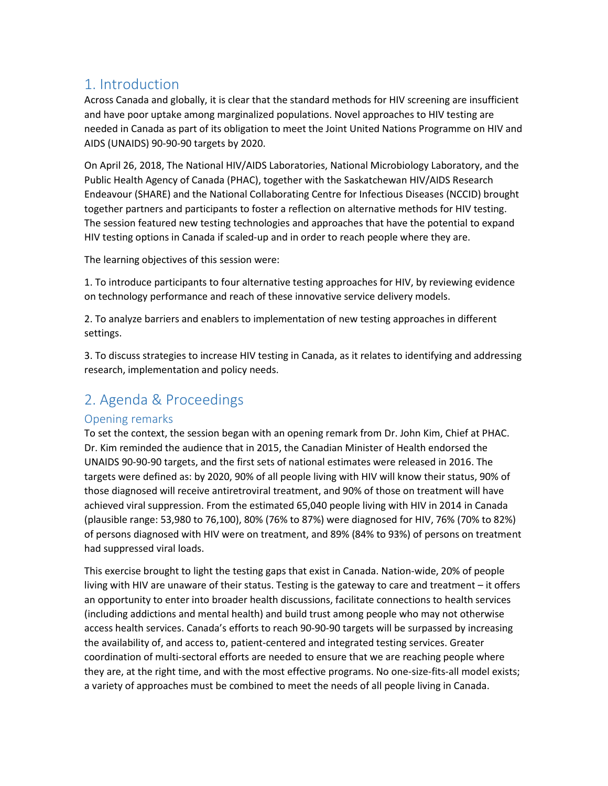### <span id="page-3-0"></span>1. Introduction

Across Canada and globally, it is clear that the standard methods for HIV screening are insufficient and have poor uptake among marginalized populations. Novel approaches to HIV testing are needed in Canada as part of its obligation to meet the Joint United Nations Programme on HIV and AIDS (UNAIDS) 90-90-90 targets by 2020.

On April 26, 2018, The National HIV/AIDS Laboratories, National Microbiology Laboratory, and the Public Health Agency of Canada (PHAC), together with the Saskatchewan HIV/AIDS Research Endeavour (SHARE) and the National Collaborating Centre for Infectious Diseases (NCCID) brought together partners and participants to foster a reflection on alternative methods for HIV testing. The session featured new testing technologies and approaches that have the potential to expand HIV testing options in Canada if scaled-up and in order to reach people where they are.

The learning objectives of this session were:

1. To introduce participants to four alternative testing approaches for HIV, by reviewing evidence on technology performance and reach of these innovative service delivery models.

2. To analyze barriers and enablers to implementation of new testing approaches in different settings.

3. To discuss strategies to increase HIV testing in Canada, as it relates to identifying and addressing research, implementation and policy needs.

## <span id="page-3-1"></span>2. Agenda & Proceedings

#### <span id="page-3-2"></span>Opening remarks

To set the context, the session began with an opening remark from Dr. John Kim, Chief at PHAC. Dr. Kim reminded the audience that in 2015, the Canadian Minister of Health endorsed the UNAIDS 90-90-90 targets, and the first sets of national estimates were released in 2016. The targets were defined as: by 2020, 90% of all people living with HIV will know their status, 90% of those diagnosed will receive antiretroviral treatment, and 90% of those on treatment will have achieved viral suppression. From the estimated 65,040 people living with HIV in 2014 in Canada (plausible range: 53,980 to 76,100), 80% (76% to 87%) were diagnosed for HIV, 76% (70% to 82%) of persons diagnosed with HIV were on treatment, and 89% (84% to 93%) of persons on treatment had suppressed viral loads.

This exercise brought to light the testing gaps that exist in Canada. Nation-wide, 20% of people living with HIV are unaware of their status. Testing is the gateway to care and treatment – it offers an opportunity to enter into broader health discussions, facilitate connections to health services (including addictions and mental health) and build trust among people who may not otherwise access health services. Canada's efforts to reach 90-90-90 targets will be surpassed by increasing the availability of, and access to, patient-centered and integrated testing services. Greater coordination of multi-sectoral efforts are needed to ensure that we are reaching people where they are, at the right time, and with the most effective programs. No one-size-fits-all model exists; a variety of approaches must be combined to meet the needs of all people living in Canada.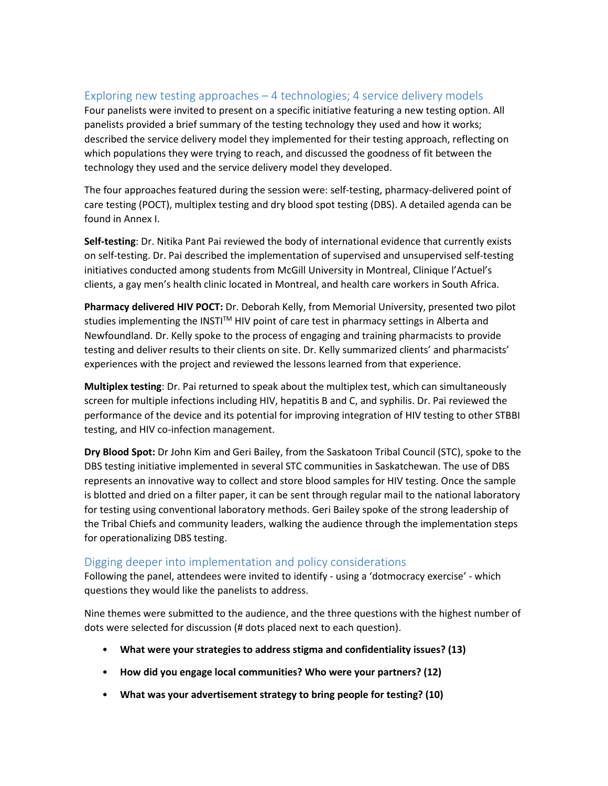#### <span id="page-4-0"></span>Exploring new testing approaches – 4 technologies; 4 service delivery models

Four panelists were invited to present on a specific initiative featuring a new testing option. All panelists provided a brief summary of the testing technology they used and how it works; described the service delivery model they implemented for their testing approach, reflecting on which populations they were trying to reach, and discussed the goodness of fit between the technology they used and the service delivery model they developed.

The four approaches featured during the session were: self-testing, pharmacy-delivered point of care testing (POCT), multiplex testing and dry blood spot testing (DBS). A detailed agenda can be found in Annex I.

**Self-testing**: Dr. Nitika Pant Pai reviewed the body of international evidence that currently exists on self-testing. Dr. Pai described the implementation of supervised and unsupervised self-testing initiatives conducted among students from McGill University in Montreal, Clinique l'Actuel's clients, a gay men's health clinic located in Montreal, and health care workers in South Africa.

**Pharmacy delivered HIV POCT:** Dr. Deborah Kelly, from Memorial University, presented two pilot studies implementing the INSTI™ HIV point of care test in pharmacy settings in Alberta and Newfoundland. Dr. Kelly spoke to the process of engaging and training pharmacists to provide testing and deliver results to their clients on site. Dr. Kelly summarized clients' and pharmacists' experiences with the project and reviewed the lessons learned from that experience.

**Multiplex testing**: Dr. Pai returned to speak about the multiplex test, which can simultaneously screen for multiple infections including HIV, hepatitis B and C, and syphilis. Dr. Pai reviewed the performance of the device and its potential for improving integration of HIV testing to other STBBI testing, and HIV co-infection management.

**Dry Blood Spot:** Dr John Kim and Geri Bailey, from the Saskatoon Tribal Council (STC), spoke to the DBS testing initiative implemented in several STC communities in Saskatchewan. The use of DBS represents an innovative way to collect and store blood samples for HIV testing. Once the sample is blotted and dried on a filter paper, it can be sent through regular mail to the national laboratory for testing using conventional laboratory methods. Geri Bailey spoke of the strong leadership of the Tribal Chiefs and community leaders, walking the audience through the implementation steps for operationalizing DBS testing.

#### <span id="page-4-1"></span>Digging deeper into implementation and policy considerations

Following the panel, attendees were invited to identify - using a 'dotmocracy exercise' - which questions they would like the panelists to address.

Nine themes were submitted to the audience, and the three questions with the highest number of dots were selected for discussion (# dots placed next to each question).

- **What were your strategies to address stigma and confidentiality issues? (13)**
- **How did you engage local communities? Who were your partners? (12)**
- **What was your advertisement strategy to bring people for testing? (10)**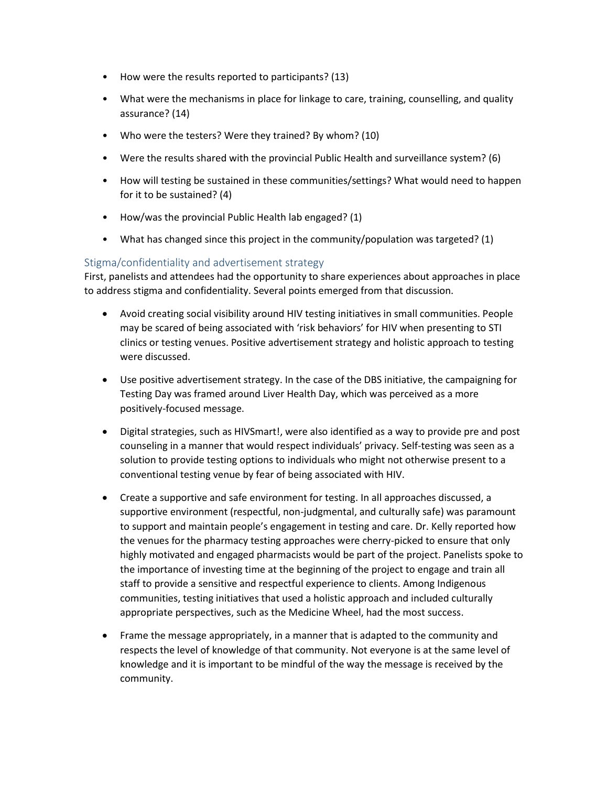- How were the results reported to participants? (13)
- What were the mechanisms in place for linkage to care, training, counselling, and quality assurance? (14)
- Who were the testers? Were they trained? By whom? (10)
- Were the results shared with the provincial Public Health and surveillance system? (6)
- How will testing be sustained in these communities/settings? What would need to happen for it to be sustained? (4)
- How/was the provincial Public Health lab engaged? (1)
- What has changed since this project in the community/population was targeted? (1)

#### <span id="page-5-0"></span>Stigma/confidentiality and advertisement strategy

First, panelists and attendees had the opportunity to share experiences about approaches in place to address stigma and confidentiality. Several points emerged from that discussion.

- Avoid creating social visibility around HIV testing initiatives in small communities. People may be scared of being associated with 'risk behaviors' for HIV when presenting to STI clinics or testing venues. Positive advertisement strategy and holistic approach to testing were discussed.
- Use positive advertisement strategy. In the case of the DBS initiative, the campaigning for Testing Day was framed around Liver Health Day, which was perceived as a more positively-focused message.
- Digital strategies, such as HIVSmart!, were also identified as a way to provide pre and post counseling in a manner that would respect individuals' privacy. Self-testing was seen as a solution to provide testing options to individuals who might not otherwise present to a conventional testing venue by fear of being associated with HIV.
- Create a supportive and safe environment for testing. In all approaches discussed, a supportive environment (respectful, non-judgmental, and culturally safe) was paramount to support and maintain people's engagement in testing and care. Dr. Kelly reported how the venues for the pharmacy testing approaches were cherry-picked to ensure that only highly motivated and engaged pharmacists would be part of the project. Panelists spoke to the importance of investing time at the beginning of the project to engage and train all staff to provide a sensitive and respectful experience to clients. Among Indigenous communities, testing initiatives that used a holistic approach and included culturally appropriate perspectives, such as the Medicine Wheel, had the most success.
- Frame the message appropriately, in a manner that is adapted to the community and respects the level of knowledge of that community. Not everyone is at the same level of knowledge and it is important to be mindful of the way the message is received by the community.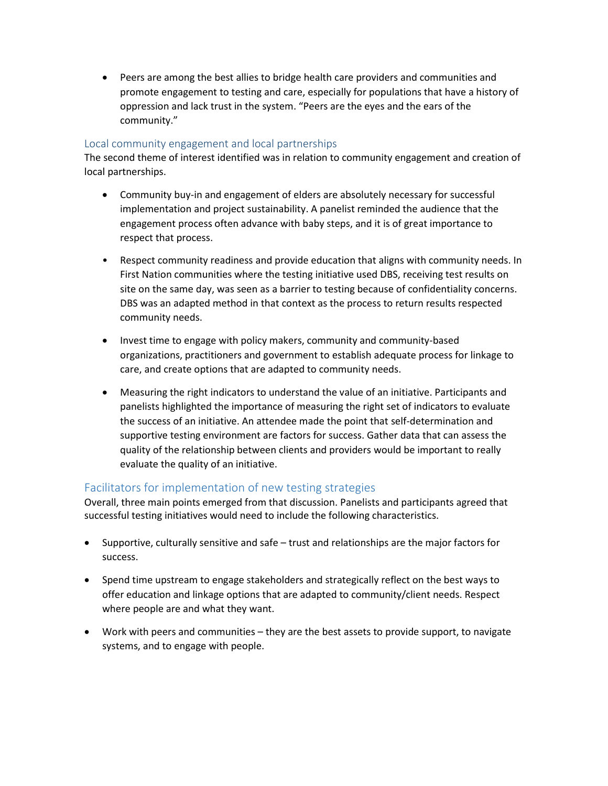Peers are among the best allies to bridge health care providers and communities and promote engagement to testing and care, especially for populations that have a history of oppression and lack trust in the system. "Peers are the eyes and the ears of the community."

#### <span id="page-6-0"></span>Local community engagement and local partnerships

The second theme of interest identified was in relation to community engagement and creation of local partnerships.

- Community buy-in and engagement of elders are absolutely necessary for successful implementation and project sustainability. A panelist reminded the audience that the engagement process often advance with baby steps, and it is of great importance to respect that process.
- Respect community readiness and provide education that aligns with community needs. In First Nation communities where the testing initiative used DBS, receiving test results on site on the same day, was seen as a barrier to testing because of confidentiality concerns. DBS was an adapted method in that context as the process to return results respected community needs.
- Invest time to engage with policy makers, community and community-based organizations, practitioners and government to establish adequate process for linkage to care, and create options that are adapted to community needs.
- Measuring the right indicators to understand the value of an initiative. Participants and panelists highlighted the importance of measuring the right set of indicators to evaluate the success of an initiative. An attendee made the point that self-determination and supportive testing environment are factors for success. Gather data that can assess the quality of the relationship between clients and providers would be important to really evaluate the quality of an initiative.

#### <span id="page-6-1"></span>Facilitators for implementation of new testing strategies

Overall, three main points emerged from that discussion. Panelists and participants agreed that successful testing initiatives would need to include the following characteristics.

- Supportive, culturally sensitive and safe trust and relationships are the major factors for success.
- Spend time upstream to engage stakeholders and strategically reflect on the best ways to offer education and linkage options that are adapted to community/client needs. Respect where people are and what they want.
- Work with peers and communities they are the best assets to provide support, to navigate systems, and to engage with people.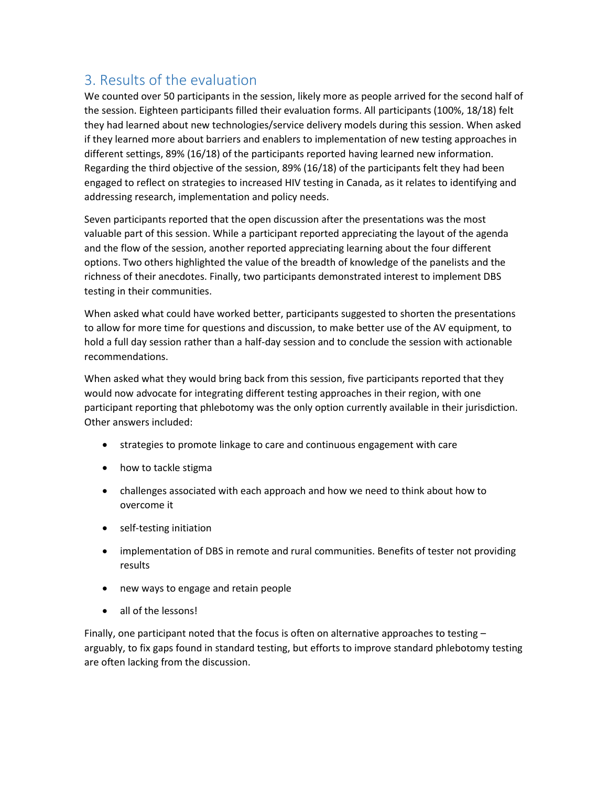## <span id="page-7-0"></span>3. Results of the evaluation

We counted over 50 participants in the session, likely more as people arrived for the second half of the session. Eighteen participants filled their evaluation forms. All participants (100%, 18/18) felt they had learned about new technologies/service delivery models during this session. When asked if they learned more about barriers and enablers to implementation of new testing approaches in different settings, 89% (16/18) of the participants reported having learned new information. Regarding the third objective of the session, 89% (16/18) of the participants felt they had been engaged to reflect on strategies to increased HIV testing in Canada, as it relates to identifying and addressing research, implementation and policy needs.

Seven participants reported that the open discussion after the presentations was the most valuable part of this session. While a participant reported appreciating the layout of the agenda and the flow of the session, another reported appreciating learning about the four different options. Two others highlighted the value of the breadth of knowledge of the panelists and the richness of their anecdotes. Finally, two participants demonstrated interest to implement DBS testing in their communities.

When asked what could have worked better, participants suggested to shorten the presentations to allow for more time for questions and discussion, to make better use of the AV equipment, to hold a full day session rather than a half-day session and to conclude the session with actionable recommendations.

When asked what they would bring back from this session, five participants reported that they would now advocate for integrating different testing approaches in their region, with one participant reporting that phlebotomy was the only option currently available in their jurisdiction. Other answers included:

- strategies to promote linkage to care and continuous engagement with care
- how to tackle stigma
- challenges associated with each approach and how we need to think about how to overcome it
- self-testing initiation
- implementation of DBS in remote and rural communities. Benefits of tester not providing results
- new ways to engage and retain people
- all of the lessons!

Finally, one participant noted that the focus is often on alternative approaches to testing – arguably, to fix gaps found in standard testing, but efforts to improve standard phlebotomy testing are often lacking from the discussion.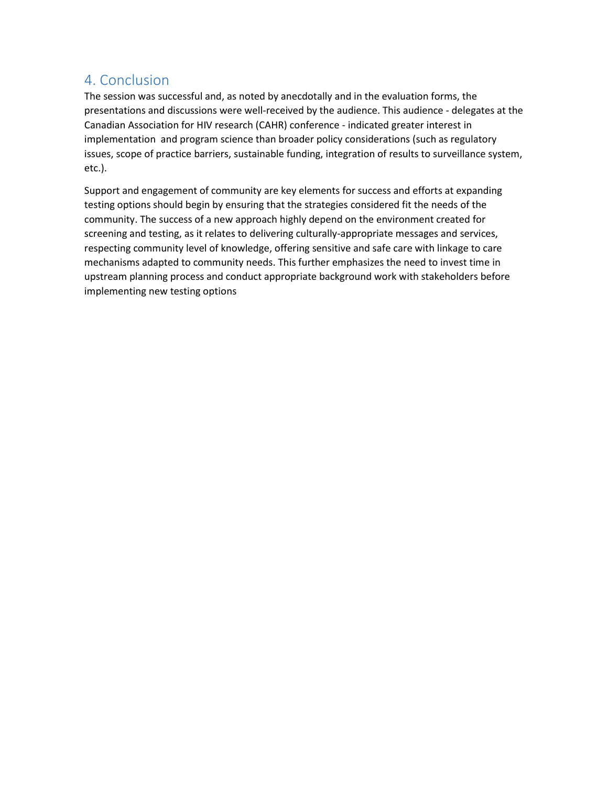## <span id="page-8-0"></span>4. Conclusion

The session was successful and, as noted by anecdotally and in the evaluation forms, the presentations and discussions were well-received by the audience. This audience - delegates at the Canadian Association for HIV research (CAHR) conference - indicated greater interest in implementation and program science than broader policy considerations (such as regulatory issues, scope of practice barriers, sustainable funding, integration of results to surveillance system, etc.).

Support and engagement of community are key elements for success and efforts at expanding testing options should begin by ensuring that the strategies considered fit the needs of the community. The success of a new approach highly depend on the environment created for screening and testing, as it relates to delivering culturally-appropriate messages and services, respecting community level of knowledge, offering sensitive and safe care with linkage to care mechanisms adapted to community needs. This further emphasizes the need to invest time in upstream planning process and conduct appropriate background work with stakeholders before implementing new testing options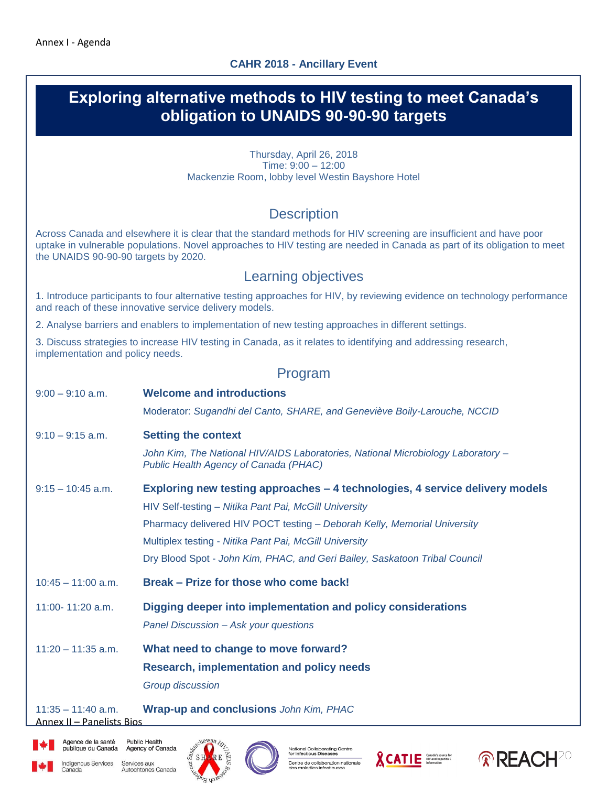

Agence de la santé

Canada

**Public Health** publique du Canada Agency of Canada

Indigenous Services Services aux Autochtones Canada



lational Collaborating Centre<br>or Infectious Diseases Centre de collaboration nationale